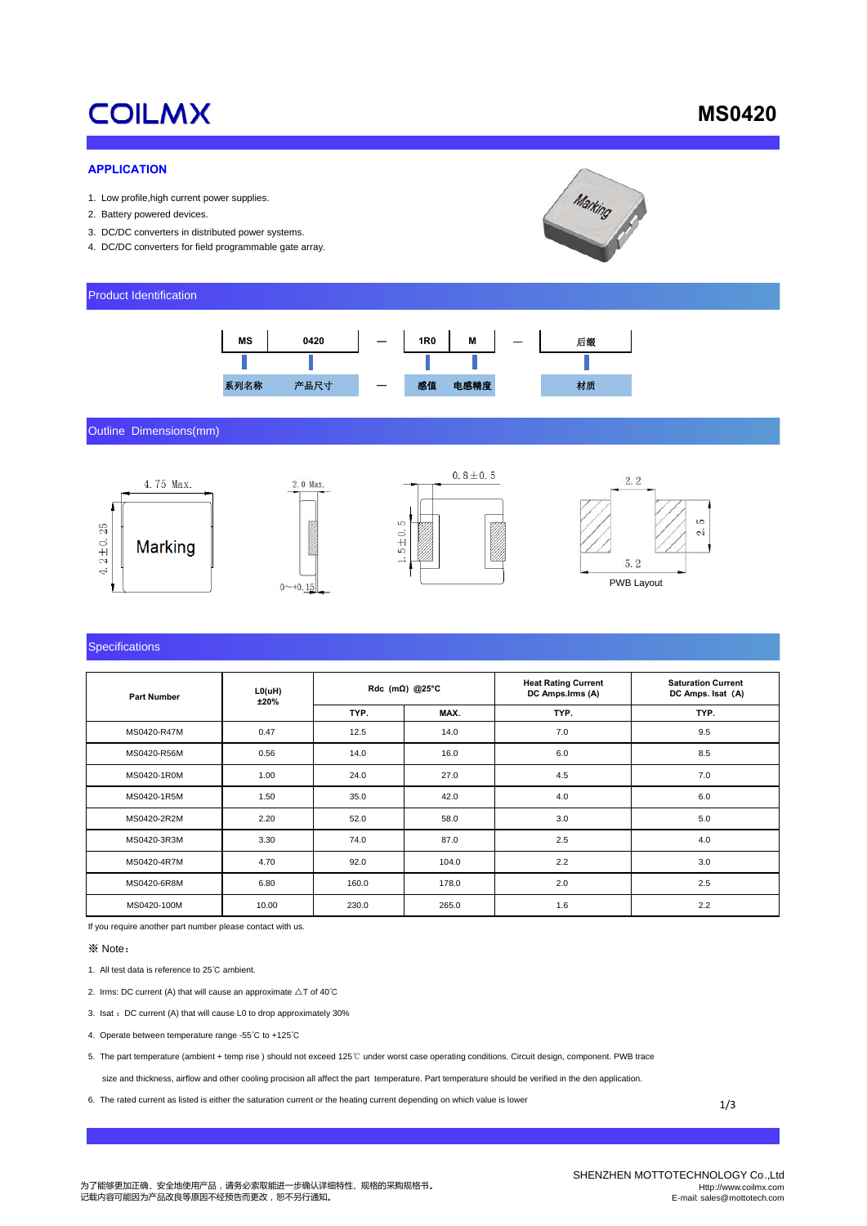# **COILMX**

# **MS0420**

#### **APPLICATION**

- 1. Low profile,high current power supplies.
- 2. Battery powered devices.
- 3. DC/DC converters in distributed power systems.
- 4. DC/DC converters for field programmable gate array.



#### Product Identification



Outline Dimensions(mm)



#### **Specifications**

| <b>Part Number</b> | L0(uH)<br>±20% | Rdc (m $\Omega$ ) @25°C |       | <b>Heat Rating Current</b><br>DC Amps.lrms (A) | <b>Saturation Current</b><br>DC Amps. Isat (A) |
|--------------------|----------------|-------------------------|-------|------------------------------------------------|------------------------------------------------|
|                    |                | TYP.                    | MAX.  | TYP.                                           | TYP.                                           |
| MS0420-R47M        | 0.47           | 12.5                    | 14.0  | 7.0                                            | 9.5                                            |
| MS0420-R56M        | 0.56           | 14.0                    | 16.0  | 6.0                                            | 8.5                                            |
| MS0420-1R0M        | 1.00           | 24.0                    | 27.0  | 4.5                                            | 7.0                                            |
| MS0420-1R5M        | 1.50           | 35.0                    | 42.0  | 4.0                                            | 6.0                                            |
| MS0420-2R2M        | 2.20           | 52.0                    | 58.0  | 3.0                                            | 5.0                                            |
| MS0420-3R3M        | 3.30           | 74.0                    | 87.0  | 2.5                                            | 4.0                                            |
| MS0420-4R7M        | 4.70           | 92.0                    | 104.0 | 2.2                                            | 3.0                                            |
| MS0420-6R8M        | 6.80           | 160.0                   | 178.0 | 2.0                                            | 2.5                                            |
| MS0420-100M        | 10.00          | 230.0                   | 265.0 | 1.6                                            | 2.2                                            |

If you require another part number please contact with us.

※ Note:

- 1. All test data is reference to 25℃ ambient.
- 2. Irms: DC current (A) that will cause an approximate △T of 40℃
- 3. Isat :DC current (A) that will cause L0 to drop approximately 30%
- 4. Operate between temperature range -55℃ to +125℃
- 5. The part temperature (ambient + temp rise ) should not exceed 125℃ under worst case operating conditions. Circuit design, component. PWB trace

size and thickness, airflow and other cooling procision all affect the part temperature. Part temperature should be verified in the den application.

6. The rated current as listed is either the saturation current or the heating current depending on which value is lower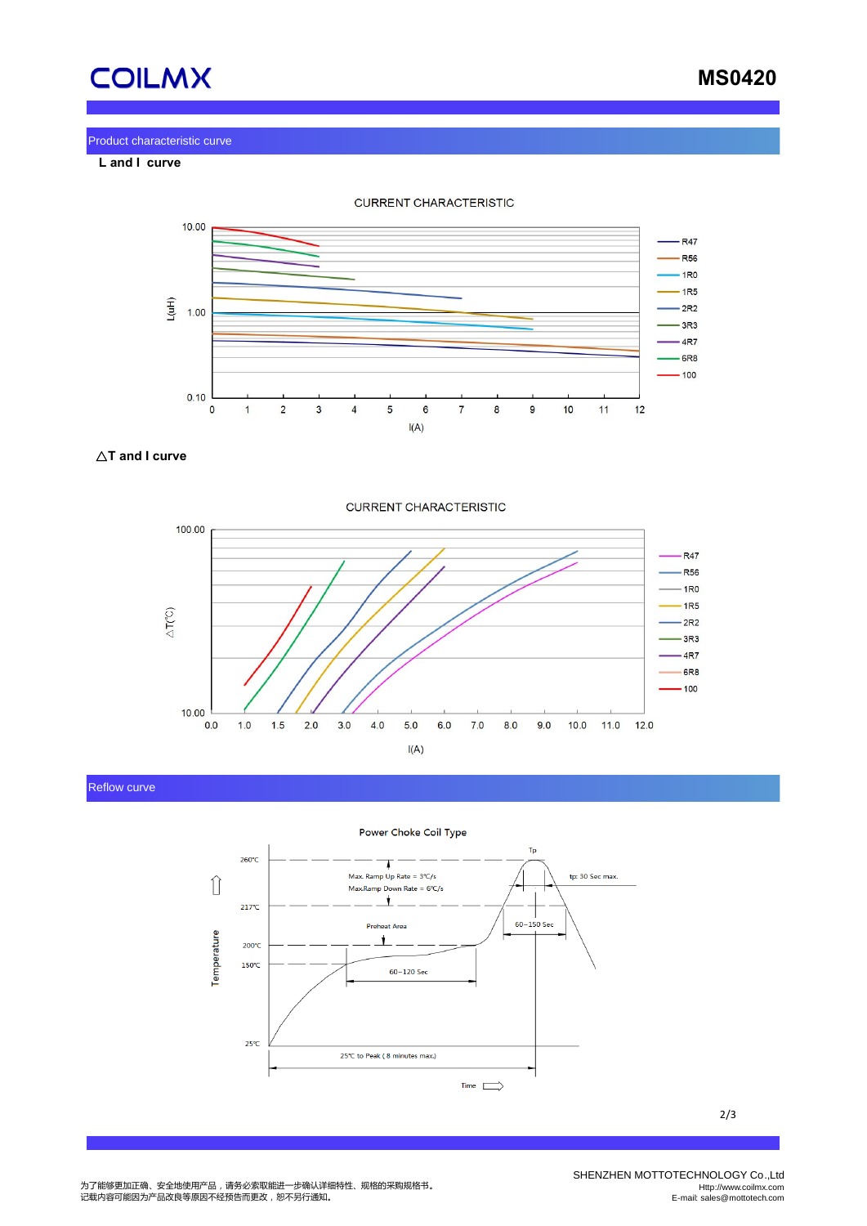

 **MS0420**

#### Product characteristic curve

 **L and I curve**



△**T and I curve**



### Reflow curve



2/3

SHENZHEN MOTTOTECHNOLOGY Co.,Ltd Http://www.coilmx.com E-mail: sales@mottotech.com